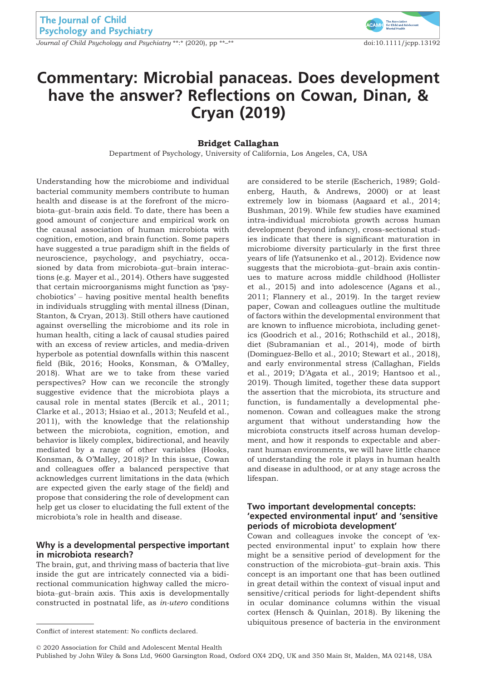Journal of Child Psychology and Psychiatry \*\*:\* (2020), pp \*\*<sup>-\*\*</sup> doi:10.1111/jcpp.13192



# Commentary: Microbial panaceas. Does development have the answer? Reflections on Cowan, Dinan, & Cryan (2019)

#### Bridget Callaghan

Department of Psychology, University of California, Los Angeles, CA, USA

Understanding how the microbiome and individual bacterial community members contribute to human health and disease is at the forefront of the microbiota–gut–brain axis field. To date, there has been a good amount of conjecture and empirical work on the causal association of human microbiota with cognition, emotion, and brain function. Some papers have suggested a true paradigm shift in the fields of neuroscience, psychology, and psychiatry, occasioned by data from microbiota–gut–brain interactions (e.g. Mayer et al., 2014). Others have suggested that certain microorganisms might function as 'psychobiotics' – having positive mental health benefits in individuals struggling with mental illness (Dinan, Stanton, & Cryan, 2013). Still others have cautioned against overselling the microbiome and its role in human health, citing a lack of causal studies paired with an excess of review articles, and media-driven hyperbole as potential downfalls within this nascent field (Bik, 2016; Hooks, Konsman, & O'Malley, 2018). What are we to take from these varied perspectives? How can we reconcile the strongly suggestive evidence that the microbiota plays a causal role in mental states (Bercik et al., 2011; Clarke et al., 2013; Hsiao et al., 2013; Neufeld et al., 2011), with the knowledge that the relationship between the microbiota, cognition, emotion, and behavior is likely complex, bidirectional, and heavily mediated by a range of other variables (Hooks, Konsman, & O'Malley, 2018)? In this issue, Cowan and colleagues offer a balanced perspective that acknowledges current limitations in the data (which are expected given the early stage of the field) and propose that considering the role of development can help get us closer to elucidating the full extent of the microbiota's role in health and disease.

## Why is a developmental perspective important in microbiota research?

The brain, gut, and thriving mass of bacteria that live inside the gut are intricately connected via a bidirectional communication highway called the microbiota–gut–brain axis. This axis is developmentally constructed in postnatal life, as in-utero conditions

are considered to be sterile (Escherich, 1989; Goldenberg, Hauth, & Andrews, 2000) or at least extremely low in biomass (Aagaard et al., 2014; Bushman, 2019). While few studies have examined intra-individual microbiota growth across human development (beyond infancy), cross-sectional studies indicate that there is significant maturation in microbiome diversity particularly in the first three years of life (Yatsunenko et al., 2012). Evidence now suggests that the microbiota–gut–brain axis continues to mature across middle childhood (Hollister et al., 2015) and into adolescence (Agans et al., 2011; Flannery et al., 2019). In the target review paper, Cowan and colleagues outline the multitude of factors within the developmental environment that are known to influence microbiota, including genetics (Goodrich et al., 2016; Rothschild et al., 2018), diet (Subramanian et al., 2014), mode of birth (Dominguez-Bello et al., 2010; Stewart et al., 2018), and early environmental stress (Callaghan, Fields et al., 2019; D'Agata et al., 2019; Hantsoo et al., 2019). Though limited, together these data support the assertion that the microbiota, its structure and function, is fundamentally a developmental phenomenon. Cowan and colleagues make the strong argument that without understanding how the microbiota constructs itself across human development, and how it responds to expectable and aberrant human environments, we will have little chance of understanding the role it plays in human health and disease in adulthood, or at any stage across the lifespan.

## Two important developmental concepts: 'expected environmental input' and 'sensitive periods of microbiota development'

Cowan and colleagues invoke the concept of 'expected environmental input' to explain how there might be a sensitive period of development for the construction of the microbiota–gut–brain axis. This concept is an important one that has been outlined in great detail within the context of visual input and sensitive/critical periods for light-dependent shifts in ocular dominance columns within the visual cortex (Hensch & Quinlan, 2018). By likening the ubiquitous presence of bacteria in the environment

© 2020 Association for Child and Adolescent Mental Health

Conflict of interest statement: No conflicts declared.

Published by John Wiley & Sons Ltd, 9600 Garsington Road, Oxford OX4 2DQ, UK and 350 Main St, Malden, MA 02148, USA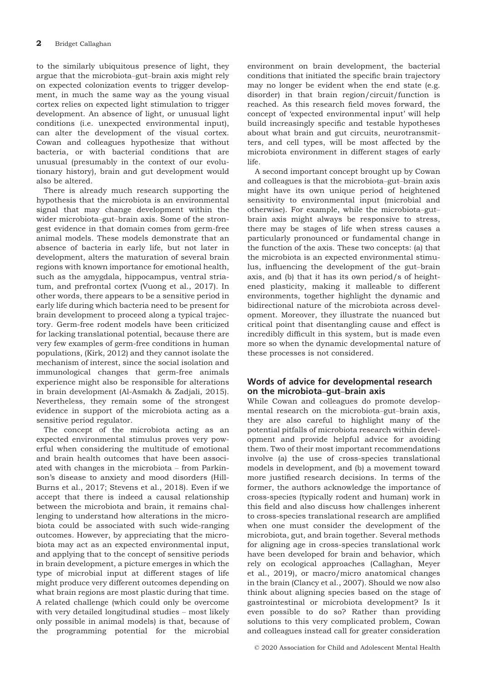to the similarly ubiquitous presence of light, they argue that the microbiota–gut–brain axis might rely on expected colonization events to trigger development, in much the same way as the young visual cortex relies on expected light stimulation to trigger development. An absence of light, or unusual light conditions (i.e. unexpected environmental input), can alter the development of the visual cortex. Cowan and colleagues hypothesize that without bacteria, or with bacterial conditions that are unusual (presumably in the context of our evolutionary history), brain and gut development would also be altered.

There is already much research supporting the hypothesis that the microbiota is an environmental signal that may change development within the wider microbiota–gut–brain axis. Some of the strongest evidence in that domain comes from germ-free animal models. These models demonstrate that an absence of bacteria in early life, but not later in development, alters the maturation of several brain regions with known importance for emotional health, such as the amygdala, hippocampus, ventral striatum, and prefrontal cortex (Vuong et al., 2017). In other words, there appears to be a sensitive period in early life during which bacteria need to be present for brain development to proceed along a typical trajectory. Germ-free rodent models have been criticized for lacking translational potential, because there are very few examples of germ-free conditions in human populations, (Kirk, 2012) and they cannot isolate the mechanism of interest, since the social isolation and immunological changes that germ-free animals experience might also be responsible for alterations in brain development (Al-Asmakh & Zadjali, 2015). Nevertheless, they remain some of the strongest evidence in support of the microbiota acting as a sensitive period regulator.

The concept of the microbiota acting as an expected environmental stimulus proves very powerful when considering the multitude of emotional and brain health outcomes that have been associated with changes in the microbiota – from Parkinson's disease to anxiety and mood disorders (Hill-Burns et al., 2017; Stevens et al., 2018). Even if we accept that there is indeed a causal relationship between the microbiota and brain, it remains challenging to understand how alterations in the microbiota could be associated with such wide-ranging outcomes. However, by appreciating that the microbiota may act as an expected environmental input, and applying that to the concept of sensitive periods in brain development, a picture emerges in which the type of microbial input at different stages of life might produce very different outcomes depending on what brain regions are most plastic during that time. A related challenge (which could only be overcome with very detailed longitudinal studies – most likely only possible in animal models) is that, because of the programming potential for the microbial

environment on brain development, the bacterial conditions that initiated the specific brain trajectory may no longer be evident when the end state (e.g. disorder) in that brain region/circuit/function is reached. As this research field moves forward, the concept of 'expected environmental input' will help build increasingly specific and testable hypotheses about what brain and gut circuits, neurotransmitters, and cell types, will be most affected by the microbiota environment in different stages of early life.

A second important concept brought up by Cowan and colleagues is that the microbiota–gut–brain axis might have its own unique period of heightened sensitivity to environmental input (microbial and otherwise). For example, while the microbiota–gut– brain axis might always be responsive to stress, there may be stages of life when stress causes a particularly pronounced or fundamental change in the function of the axis. These two concepts: (a) that the microbiota is an expected environmental stimulus, influencing the development of the gut–brain axis, and (b) that it has its own period/s of heightened plasticity, making it malleable to different environments, together highlight the dynamic and bidirectional nature of the microbiota across development. Moreover, they illustrate the nuanced but critical point that disentangling cause and effect is incredibly difficult in this system, but is made even more so when the dynamic developmental nature of these processes is not considered.

# Words of advice for developmental research on the microbiota–gut–brain axis

While Cowan and colleagues do promote developmental research on the microbiota–gut–brain axis, they are also careful to highlight many of the potential pitfalls of microbiota research within development and provide helpful advice for avoiding them. Two of their most important recommendations involve (a) the use of cross-species translational models in development, and (b) a movement toward more justified research decisions. In terms of the former, the authors acknowledge the importance of cross-species (typically rodent and human) work in this field and also discuss how challenges inherent to cross-species translational research are amplified when one must consider the development of the microbiota, gut, and brain together. Several methods for aligning age in cross-species translational work have been developed for brain and behavior, which rely on ecological approaches (Callaghan, Meyer et al., 2019), or macro/micro anatomical changes in the brain (Clancy et al., 2007). Should we now also think about aligning species based on the stage of gastrointestinal or microbiota development? Is it even possible to do so? Rather than providing solutions to this very complicated problem, Cowan and colleagues instead call for greater consideration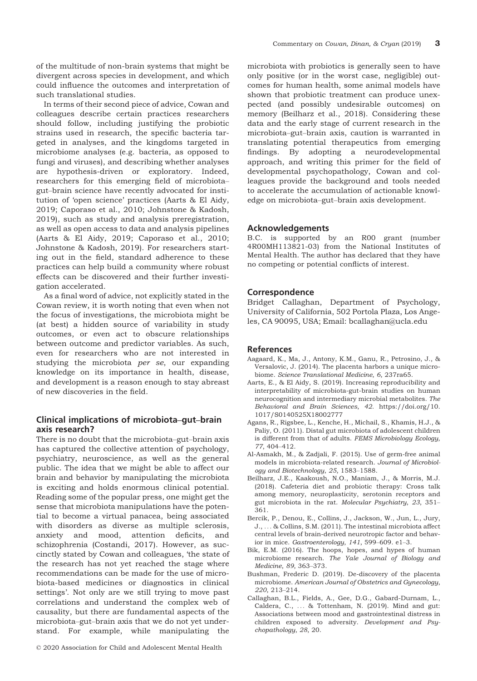of the multitude of non-brain systems that might be divergent across species in development, and which could influence the outcomes and interpretation of such translational studies.

In terms of their second piece of advice, Cowan and colleagues describe certain practices researchers should follow, including justifying the probiotic strains used in research, the specific bacteria targeted in analyses, and the kingdoms targeted in microbiome analyses (e.g. bacteria, as opposed to fungi and viruses), and describing whether analyses are hypothesis-driven or exploratory. Indeed, researchers for this emerging field of microbiota– gut–brain science have recently advocated for institution of 'open science' practices (Aarts & El Aidy, 2019; Caporaso et al., 2010; Johnstone & Kadosh, 2019), such as study and analysis preregistration, as well as open access to data and analysis pipelines (Aarts & El Aidy, 2019; Caporaso et al., 2010; Johnstone & Kadosh, 2019). For researchers starting out in the field, standard adherence to these practices can help build a community where robust effects can be discovered and their further investigation accelerated.

As a final word of advice, not explicitly stated in the Cowan review, it is worth noting that even when not the focus of investigations, the microbiota might be (at best) a hidden source of variability in study outcomes, or even act to obscure relationships between outcome and predictor variables. As such, even for researchers who are not interested in studying the microbiota *per se*, our expanding knowledge on its importance in health, disease, and development is a reason enough to stay abreast of new discoveries in the field.

# Clinical implications of microbiota–gut–brain axis research?

There is no doubt that the microbiota–gut–brain axis has captured the collective attention of psychology, psychiatry, neuroscience, as well as the general public. The idea that we might be able to affect our brain and behavior by manipulating the microbiota is exciting and holds enormous clinical potential. Reading some of the popular press, one might get the sense that microbiota manipulations have the potential to become a virtual panacea, being associated with disorders as diverse as multiple sclerosis, anxiety and mood, attention deficits, and schizophrenia (Costandi, 2017). However, as succinctly stated by Cowan and colleagues, 'the state of the research has not yet reached the stage where recommendations can be made for the use of microbiota-based medicines or diagnostics in clinical settings'. Not only are we still trying to move past correlations and understand the complex web of causality, but there are fundamental aspects of the microbiota–gut–brain axis that we do not yet understand. For example, while manipulating the

microbiota with probiotics is generally seen to have only positive (or in the worst case, negligible) outcomes for human health, some animal models have shown that probiotic treatment can produce unexpected (and possibly undesirable outcomes) on memory (Beilharz et al., 2018). Considering these data and the early stage of current research in the microbiota–gut–brain axis, caution is warranted in translating potential therapeutics from emerging findings. By adopting a neurodevelopmental approach, and writing this primer for the field of developmental psychopathology, Cowan and colleagues provide the background and tools needed to accelerate the accumulation of actionable knowledge on microbiota–gut–brain axis development.

#### Acknowledgements

B.C. is supported by an R00 grant (number 4R00MH113821-03) from the National Institutes of Mental Health. The author has declared that they have no competing or potential conflicts of interest.

## Correspondence

Bridget Callaghan, Department of Psychology, University of California, 502 Portola Plaza, Los Angeles, CA 90095, USA; Email: bcallaghan@ucla.edu

### References

- Aagaard, K., Ma, J., Antony, K.M., Ganu, R., Petrosino, J., & Versalovic, J. (2014). The placenta harbors a unique microbiome. Science Translational Medicine, 6, 237ra65.
- Aarts, E., & El Aidy, S. (2019). Increasing reproducibility and interpretability of microbiota-gut-brain studies on human neurocognition and intermediary microbial metabolites. The Behavioral and Brain Sciences, 42. [https://doi.org/10.](https://doi.org/10.1017/S0140525X18002777) [1017/S0140525X18002777](https://doi.org/10.1017/S0140525X18002777)
- Agans, R., Rigsbee, L., Kenche, H., Michail, S., Khamis, H.J., & Paliy, O. (2011). Distal gut microbiota of adolescent children is different from that of adults. FEMS Microbiology Ecology, 77, 404–412.
- Al-Asmakh, M., & Zadjali, F. (2015). Use of germ-free animal models in microbiota-related research. Journal of Microbiology and Biotechnology, 25, 1583–1588.
- Beilharz, J.E., Kaakoush, N.O., Maniam, J., & Morris, M.J. (2018). Cafeteria diet and probiotic therapy: Cross talk among memory, neuroplasticity, serotonin receptors and gut microbiota in the rat. Molecular Psychiatry, 23, 351– 361.
- Bercik, P., Denou, E., Collins, J., Jackson, W., Jun, L., Jury, J., ... & Collins, S.M. (2011). The intestinal microbiota affect central levels of brain-derived neurotropic factor and behavior in mice. Gastroenterology, 141, 599–609. e1–3.
- Bik, E.M. (2016). The hoops, hopes, and hypes of human microbiome research. The Yale Journal of Biology and Medicine, 89, 363–373.
- Bushman, Frederic D. (2019). De-discovery of the placenta microbiome. American Journal of Obstetrics and Gynecology, 220, 213–214.
- Callaghan, B.L., Fields, A., Gee, D.G., Gabard-Durnam, L., Caldera, C., ... & Tottenham, N. (2019). Mind and gut: Associations between mood and gastrointestinal distress in children exposed to adversity. Development and Psychopathology, 28, 20.